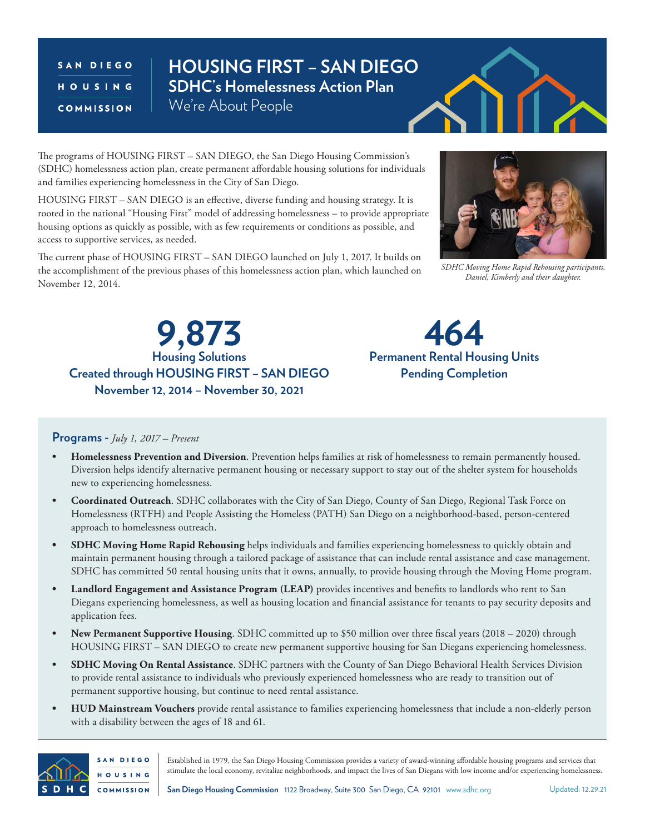## SAN DIEGO HOUSING COMMISSION

## **HOUSING FIRST – SAN DIEGO SDHC's Homelessness Action Plan** We're About People

The programs of HOUSING FIRST – SAN DIEGO, the San Diego Housing Commission's (SDHC) homelessness action plan, create permanent affordable housing solutions for individuals and families experiencing homelessness in the City of San Diego.

HOUSING FIRST – SAN DIEGO is an effective, diverse funding and housing strategy. It is rooted in the national "Housing First" model of addressing homelessness – to provide appropriate housing options as quickly as possible, with as few requirements or conditions as possible, and access to supportive services, as needed.

The current phase of HOUSING FIRST – SAN DIEGO launched on July 1, 2017. It builds on the accomplishment of the previous phases of this homelessness action plan, which launched on November 12, 2014.



*SDHC Moving Home Rapid Rehousing participants, Daniel, Kimberly and their daughter.*

**Housing Solutions Created through HOUSING FIRST – SAN DIEGO November 12, 2014 – November 30, 2021 9,873**



## **Programs -** *July 1, 2017 – Present*

- **• Homelessness Prevention and Diversion**. Prevention helps families at risk of homelessness to remain permanently housed. Diversion helps identify alternative permanent housing or necessary support to stay out of the shelter system for households new to experiencing homelessness.
- **• Coordinated Outreach**. SDHC collaborates with the City of San Diego, County of San Diego, Regional Task Force on Homelessness (RTFH) and People Assisting the Homeless (PATH) San Diego on a neighborhood-based, person-centered approach to homelessness outreach.
- **• SDHC Moving Home Rapid Rehousing** helps individuals and families experiencing homelessness to quickly obtain and maintain permanent housing through a tailored package of assistance that can include rental assistance and case management. SDHC has committed 50 rental housing units that it owns, annually, to provide housing through the Moving Home program.
- **• Landlord Engagement and Assistance Program (LEAP)** provides incentives and benefits to landlords who rent to San Diegans experiencing homelessness, as well as housing location and financial assistance for tenants to pay security deposits and application fees.
- **• New Permanent Supportive Housing**. SDHC committed up to \$50 million over three fiscal years (2018 2020) through HOUSING FIRST – SAN DIEGO to create new permanent supportive housing for San Diegans experiencing homelessness.
- **• SDHC Moving On Rental Assistance**. SDHC partners with the County of San Diego Behavioral Health Services Division to provide rental assistance to individuals who previously experienced homelessness who are ready to transition out of permanent supportive housing, but continue to need rental assistance.
- **• HUD Mainstream Vouchers** provide rental assistance to families experiencing homelessness that include a non-elderly person with a disability between the ages of 18 and 61.



Established in 1979, the San Diego Housing Commission provides a variety of award-winning affordable housing programs and services that stimulate the local economy, revitalize neighborhoods, and impact the lives of San Diegans with low income and/or experiencing homelessness.